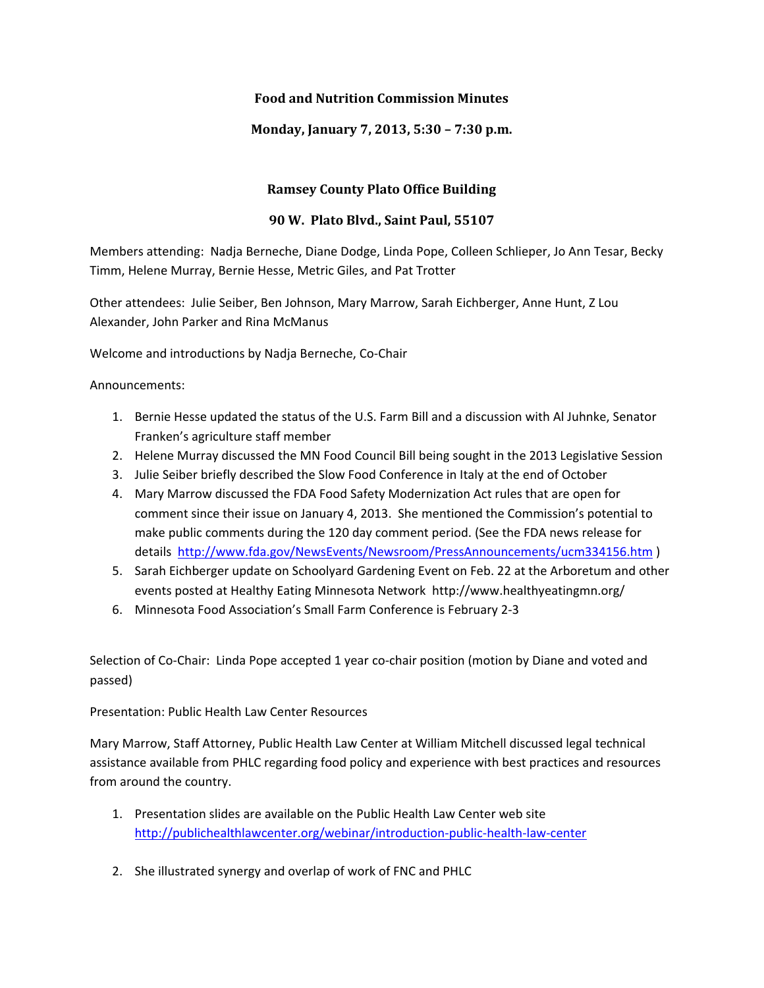## **Food and Nutrition Commission Minutes**

**Monday, January 7, 2013, 5:30 – 7:30 p.m.** 

## **Ramsey County Plato Office Building**

## **90 W. Plato Blvd., Saint Paul, 55107**

Members attending: Nadja Berneche, Diane Dodge, Linda Pope, Colleen Schlieper, Jo Ann Tesar, Becky Timm, Helene Murray, Bernie Hesse, Metric Giles, and Pat Trotter

Other attendees: Julie Seiber, Ben Johnson, Mary Marrow, Sarah Eichberger, Anne Hunt, Z Lou Alexander, John Parker and Rina McManus

Welcome and introductions by Nadja Berneche, Co-Chair

Announcements:

- 1. Bernie Hesse updated the status of the U.S. Farm Bill and a discussion with Al Juhnke, Senator Franken's agriculture staff member
- 2. Helene Murray discussed the MN Food Council Bill being sought in the 2013 Legislative Session
- 3. Julie Seiber briefly described the Slow Food Conference in Italy at the end of October
- 4. Mary Marrow discussed the FDA Food Safety Modernization Act rules that are open for comment since their issue on January 4, 2013. She mentioned the Commission's potential to make public comments during the 120 day comment period. (See the FDA news release for details http://www.fda.gov/NewsEvents/Newsroom/PressAnnouncements/ucm334156.htm )
- 5. Sarah Eichberger update on Schoolyard Gardening Event on Feb. 22 at the Arboretum and other events posted at Healthy Eating Minnesota Network http://www.healthyeatingmn.org/
- 6. Minnesota Food Association's Small Farm Conference is February 2-3

Selection of Co-Chair: Linda Pope accepted 1 year co-chair position (motion by Diane and voted and passed)

Presentation: Public Health Law Center Resources

Mary Marrow, Staff Attorney, Public Health Law Center at William Mitchell discussed legal technical assistance available from PHLC regarding food policy and experience with best practices and resources from around the country.

- 1. Presentation slides are available on the Public Health Law Center web site http://publichealthlawcenter.org/webinar/introduction-public-health-law-center
- 2. She illustrated synergy and overlap of work of FNC and PHLC